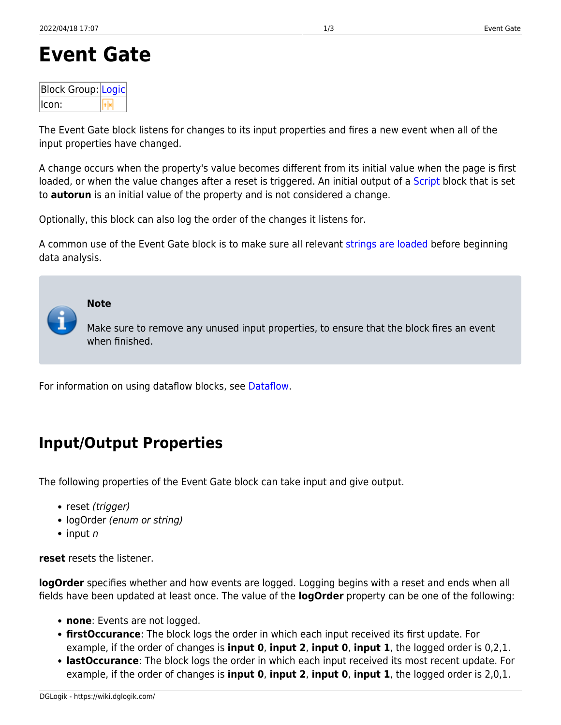# **Event Gate**

| <b>Block Group: Logic</b> |  |
|---------------------------|--|
| $II$ con:                 |  |

The Event Gate block listens for changes to its input properties and fires a new event when all of the input properties have changed.

A change occurs when the property's value becomes different from its initial value when the page is first loaded, or when the value changes after a reset is triggered. An initial output of a [Script](https://wiki.dglogik.com/dglux5_wiki:dataflow:dataflow_blocks_reference:logic:script) block that is set to **autorun** is an initial value of the property and is not considered a change.

Optionally, this block can also log the order of the changes it listens for.

A common use of the Event Gate block is to make sure all relevant [strings are loaded](https://wiki.dglogik.com/dglux5_wiki:dataflow:dataflow_blocks_reference:data_services:string_loader) before beginning data analysis.

**Note** Make sure to remove any unused input properties, to ensure that the block fires an event when finished.

For information on using dataflow blocks, see [Dataflow](https://wiki.dglogik.com/dglux5_wiki:dataflow:home).

## **Input/Output Properties**

The following properties of the Event Gate block can take input and give output.

- reset (trigger)
- logOrder (enum or string)
- $\bullet$  input n

**reset** resets the listener.

**logOrder** specifies whether and how events are logged. Logging begins with a reset and ends when all fields have been updated at least once. The value of the **logOrder** property can be one of the following:

- **none**: Events are not logged.
- **firstOccurance**: The block logs the order in which each input received its first update. For example, if the order of changes is **input 0**, **input 2**, **input 0**, **input 1**, the logged order is 0,2,1.
- **lastOccurance**: The block logs the order in which each input received its most recent update. For example, if the order of changes is **input 0**, **input 2**, **input 0**, **input 1**, the logged order is 2,0,1.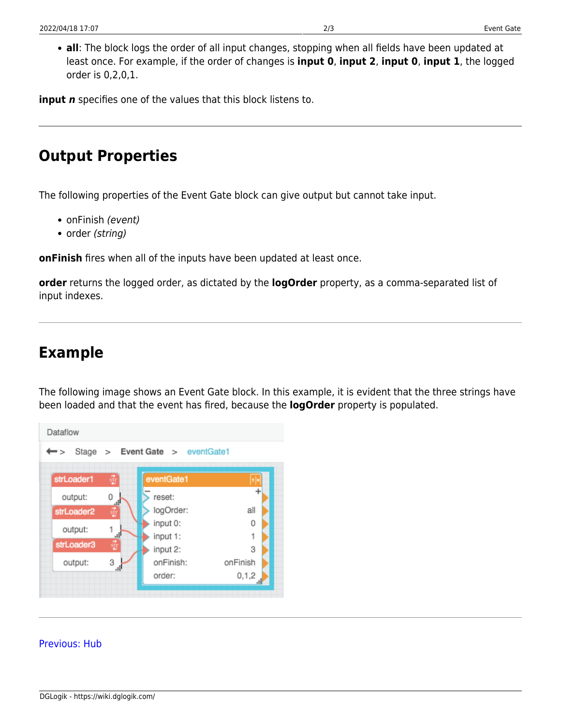**all**: The block logs the order of all input changes, stopping when all fields have been updated at least once. For example, if the order of changes is **input 0**, **input 2**, **input 0**, **input 1**, the logged order is 0,2,0,1.

**input** *n* specifies one of the values that this block listens to.

### **Output Properties**

The following properties of the Event Gate block can give output but cannot take input.

- onFinish (event)
- order (string)

**onFinish** fires when all of the inputs have been updated at least once.

**order** returns the logged order, as dictated by the **logOrder** property, as a comma-separated list of input indexes.

## **Example**

The following image shows an Event Gate block. In this example, it is evident that the three strings have been loaded and that the event has fired, because the **logOrder** property is populated.



#### [Previous: Hub](https://wiki.dglogik.com/dglux5_wiki:dataflow:dataflow_blocks_reference:logic:hub)